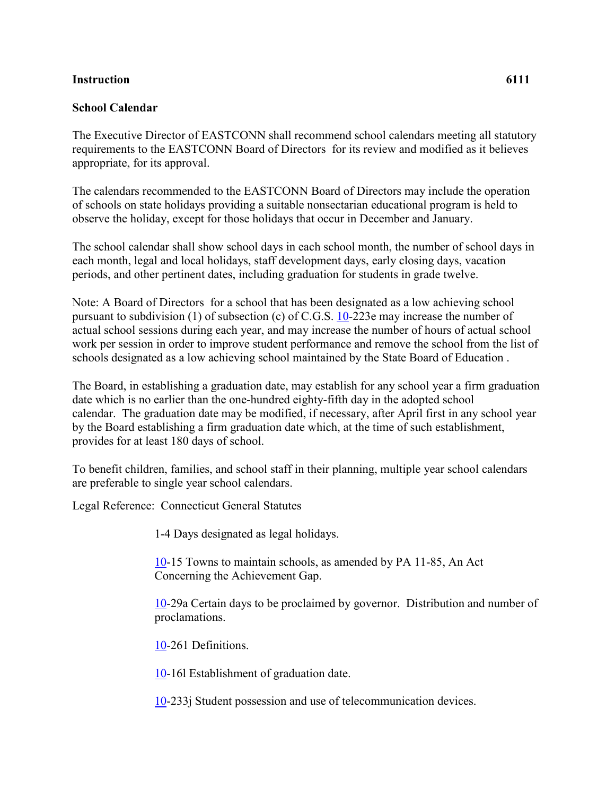## **Instruction 6111**

## **School Calendar**

The Executive Director of EASTCONN shall recommend school calendars meeting all statutory requirements to the EASTCONN Board of Directors for its review and modified as it believes appropriate, for its approval.

The calendars recommended to the EASTCONN Board of Directors may include the operation of schools on state holidays providing a suitable nonsectarian educational program is held to observe the holiday, except for those holidays that occur in December and January.

The school calendar shall show school days in each school month, the number of school days in each month, legal and local holidays, staff development days, early closing days, vacation periods, and other pertinent dates, including graduation for students in grade twelve.

Note: A Board of Directors for a school that has been designated as a low achieving school pursuant to subdivision (1) of subsection (c) of C.G.S. [10-](http://www.cga.ct.gov/2011/pub/Title10.htm)223e may increase the number of actual school sessions during each year, and may increase the number of hours of actual school work per session in order to improve student performance and remove the school from the list of schools designated as a low achieving school maintained by the State Board of Education .

The Board, in establishing a graduation date, may establish for any school year a firm graduation date which is no earlier than the one-hundred eighty-fifth day in the adopted school calendar. The graduation date may be modified, if necessary, after April first in any school year by the Board establishing a firm graduation date which, at the time of such establishment, provides for at least 180 days of school.

To benefit children, families, and school staff in their planning, multiple year school calendars are preferable to single year school calendars.

Legal Reference: Connecticut General Statutes

1-4 Days designated as legal holidays.

[10-](http://www.cga.ct.gov/2011/pub/Title10.htm)15 Towns to maintain schools, as amended by PA 11-85, An Act Concerning the Achievement Gap.

[10-](http://www.cga.ct.gov/2011/pub/Title10.htm)29a Certain days to be proclaimed by governor. Distribution and number of proclamations.

[10-](http://www.cga.ct.gov/2011/pub/Title10.htm)261 Definitions.

[10-](http://www.cga.ct.gov/2011/pub/Title10.htm)16l Establishment of graduation date.

[10-](http://www.cga.ct.gov/2011/pub/Title10.htm)233j Student possession and use of telecommunication devices.